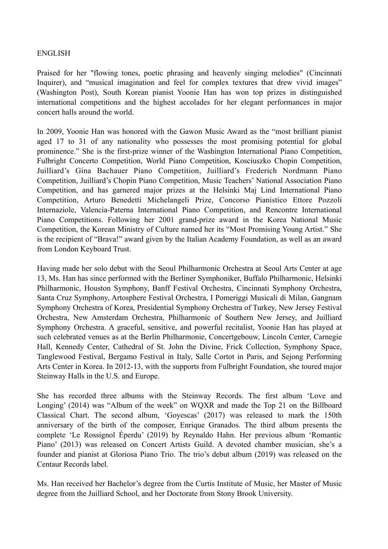## ENGLISH

Praised for her "flowing tones, poetic phrasing and heavenly singing melodies" (Cincinnati Inquirer), and "musical imagination and feel for complex textures that drew vivid images" (Washington Post), South Korean pianist Yoonie Han has won top prizes in distinguished international competitions and the highest accolades for her elegant performances in major concert halls around the world.

In 2009, Yoonie Han was honored with the Gawon Music Award as the "most brilliant pianist aged 17 to 31 of any nationality who possesses the most promising potential for global prominence." She is the first-prize winner of the Washington International Piano Competition, Fulbright Concerto Competition, World Piano Competition, Kosciuszko Chopin Competition, Juilliard's Gina Bachauer Piano Competition, Juilliard's Frederich Nordmann Piano Competition, Juilliard's Chopin Piano Competition, Music Teachers' National Association Piano Competition, and has garnered major prizes at the Helsinki Maj Lind International Piano Competition, Arturo Benedetti Michelangeli Prize, Concorso Pianistico Ettore Pozzoli Internaziole, Valencia-Paterna International Piano Competition, and Rencontre International Piano Competitions. Following her 2001 grand-prize award in the Korea National Music Competition, the Korean Ministry of Culture named her its "Most Promising Young Artist." She is the recipient of "Brava!" award given by the Italian Academy Foundation, as well as an award from London Keyboard Trust.

Having made her solo debut with the Seoul Philharmonic Orchestra at Seoul Arts Center at age 13, Ms. Han has since performed with the Berliner Symphoniker, Buffalo Philharmonic, Helsinki Philharmonic, Houston Symphony, Banff Festival Orchestra, Cincinnati Symphony Orchestra, Santa Cruz Symphony, Artosphere Festival Orchestra, I Pomeriggi Musicali di Milan, Gangnam Symphony Orchestra of Korea, Presidential Symphony Orchestra of Turkey, New Jersey Festival Orchestra, New Amsterdam Orchestra, Philharmonic of Southern New Jersey, and Juilliard Symphony Orchestra. A graceful, sensitive, and powerful recitalist, Yoonie Han has played at such celebrated venues as at the Berlin Philharmonie, Concertgebouw, Lincoln Center, Carnegie Hall, Kennedy Center, Cathedral of St. John the Divine, Frick Collection, Symphony Space, Tanglewood Festival, Bergamo Festival in Italy, Salle Cortot in Paris, and Sejong Performing Arts Center in Korea. In 2012-13, with the supports from Fulbright Foundation, she toured major Steinway Halls in the U.S. and Europe.

She has recorded three albums with the Steinway Records. The first album 'Love and Longing' (2014) was "Album of the week" on WQXR and made the Top 21 on the Billboard Classical Chart. The second album, 'Goyescas' (2017) was released to mark the 150th anniversary of the birth of the composer, Enrique Granados. The third album presents the complete 'Le Rossignol Éperdu' (2019) by Reynaldo Hahn. Her previous album 'Romantic Piano' (2013) was released on Concert Artists Guild. A devoted chamber musician, she's a founder and pianist at Gloriosa Piano Trio. The trio's debut album (2019) was released on the Centaur Records label.

Ms. Han received her Bachelor's degree from the Curtis Institute of Music, her Master of Music degree from the Juilliard School, and her Doctorate from Stony Brook University.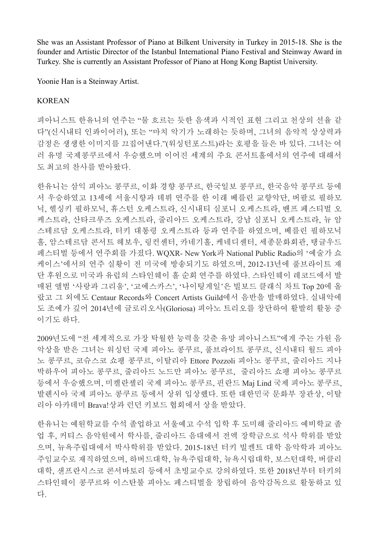She was an Assistant Professor of Piano at Bilkent University in Turkey in 2015-18. She is the founder and Artistic Director of the Istanbul International Piano Festival and Steinway Award in Turkey. She is currently an Assistant Professor of Piano at Hong Kong Baptist University.

Yoonie Han is a Steinway Artist.

## KOREAN

피아니스트 한유니의 연주는 "물 흐르는 듯한 음색과 시적인 표현 그리고 천상의 선율 같 다"(신시내티 인콰이어러), 또는 "마치 악기가 노래하는 듯하며, 그녀의 음악적 상상력과 감정은 생생한 이미지를 끄집어낸다."(워싱턴포스트)라는 호평을 들은 바 있다. 그녀는 여 러 유명 국제콩쿠르에서 우승했으며 이어진 세계의 주요 콘서트홀에서의 연주에 대해서 도 최고의 찬사를 받아왔다.

한유니는 삼익 피아노 콩쿠르, 이화 경향 콩쿠르, 한국일보 콩쿠르, 한국음악 콩쿠르 등에 서 우승하였고 13세에 서울시향과 데뷔 연주를 한 이래 베를린 교향악단, 버팔로 필하모 닉, 헬싱키 필하모닉, 휴스턴 오케스트라, 신시내티 심포니 오케스트라, 밴프 페스티벌 오 케스트라, 산타크루즈 오케스트라, 줄리아드 오케스트라, 강남 심포니 오케스트라, 뉴 암 스테르담 오케스트라, 터키 대통령 오케스트라 등과 연주를 하였으며, 베를린 필하모닉 홀, 암스테르담 콘서트 헤보우, 링컨센터, 카네기홀, 케네디센터, 세종문화회관, 탱글우드 페스티벌 등에서 연주회를 가졌다. WQXR- New York과 National Public Radio의 '예술가 쇼 케이스'에서의 연주 실황이 전 미국에 방송되기도 하였으며, 2012-13년에 풀브라이트 재 단 후원으로 미국과 유럽의 스타인웨이 홀 순회 연주를 하였다. 스타인웨이 레코드에서 발 매된 앨범 '사랑과 그리움', '고예스카스', '나이팅게일'은 빌보드 클래식 차트 Top 20에 올 랐고 그 외에도 Centaur Records와 Concert Artists Guild에서 음반을 발매하였다. 실내악에 도 조예가 깊어 2014년에 글로리오사(Gloriosa) 피아노 트리오를 창단하여 활발히 활동 중 이기도 하다.

2009년도에 "전 세계적으로 가장 탁월한 능력을 갖춘 유망 피아니스트"에게 주는 가원 음 악상을 받은 그녀는 워싱턴 국제 피아노 콩쿠르, 풀브라이트 콩쿠르, 신시내티 월드 피아 노 콩쿠르, 코슈스코 쇼팽 콩쿠르, 이탈리아 Ettore Pozzoli 피아노 콩쿠르, 줄리아드 지나 박하우어 피아노 콩쿠르, 줄리아드 노드만 피아노 콩쿠르, 줄리아드 쇼팽 피아노 콩쿠르 등에서 우승했으며, 미켈란젤리 국제 피아노 콩쿠르, 핀란드 Maj Lind 국제 피아노 콩쿠르, 발렌시아 국제 피아노 콩쿠르 등에서 상위 입상했다. 또한 대한민국 문화부 장관상, 이탈 리아 아카데미 Brava!상과 런던 키보드 협회에서 상을 받았다.

한유니는 예원학교를 수석 졸업하고 서울예고 수석 입학 후 도미해 줄리아드 예비학교 졸 업 후, 커티스 음악원에서 학사를, 줄리아드 음대에서 전액 장학금으로 석사 학위를 받았 으며, 뉴욕주립대에서 박사학위를 받았다. 2015-18년 터키 빌켄트 대학 음악학과 피아노 주임교수로 재직하였으며, 하버드대학, 뉴욕주립대학, 뉴욕시립대학, 보스턴대학, 버클리 대학, 샌프란시스코 콘서바토리 등에서 초빙교수로 강의하였다. 또한 2018년부터 터키의 스타인웨이 콩쿠르와 이스탄불 피아노 페스티벌을 창립하여 음악감독으로 활동하고 있 다.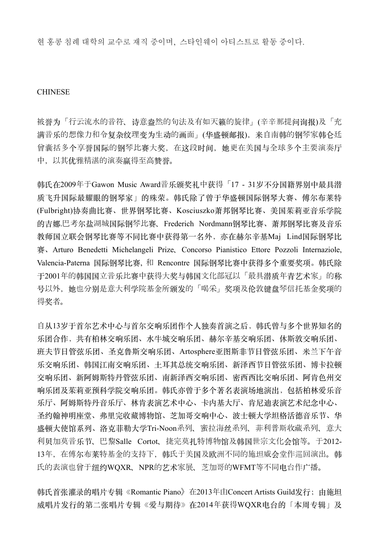현 홍콩 침례 대학의 교수로 재직 중이며, 스타인웨이 아티스트로 활동 중이다.

## **CHINESE**

被誉为「行云流水的音符、诗意盎然的句法及有如天籁的旋律」(辛辛那提问询报)及「充 满音乐的想像力和令复杂纹理变为生动的画面」(华盛顿邮报),来自南韩的钢琴家韩仑廷 曾囊括多个享誉国际的钢琴比赛大奖,在这段时间,她更在美国与全球多个主要演奏厅 中,以其优雅精湛的演奏赢得至高赞誉。

韩氏在2009年于Gawon Music Award音乐颁奖礼中获得「17 - 31岁不分国籍界别中最具潜 质飞升国际最耀眼的钢琴家」的殊荣。韩氏除了曾于华盛顿国际钢琴大赛、傅尔布莱特 (Fulbright)协奏曲比赛、世界钢琴比赛、Kosciuszko萧邦钢琴比赛、美国茱莉亚音乐学院 的吉娜.巴考尔盐湖城国际钢琴比赛、Frederich Nordmann钢琴比赛、萧邦钢琴比赛及音乐 教师国立联会钢琴比赛等不同比赛中获得第一名外,亦在赫尔辛基Maj Lind国际钢琴比 赛、Arturo Benedetti Michelangeli Prize、Concorso Pianistico Ettore Pozzoli Internaziole, Valencia-Paterna 国际钢琴比赛, 和 Rencontre 国际钢琴比赛中获得多个重要奖项。韩氏除 于2001年的韩国国立音乐比赛中获得大奖与韩国文化部冠以「最具潜质年青艺术家」的称 号以外,她也分别是意大利学院基金所颁发的「喝采」奖项及伦敦键盘琴信托基金奖项的 得奖者。

自从13岁于首尔艺术中心与首尔交响乐团作个人独奏首演之后,韩氏曾与多个世界知名的 乐团合作,共有柏林交响乐团、水牛城交响乐团、赫尔辛基交响乐团、休斯敦交响乐团、 班夫节日管弦乐团、圣克鲁斯交响乐团、Artosphere亚图斯非节日管弦乐团、米兰下午音 乐交响乐团、韩国江南交响乐团、新泽西节日管弦乐团、博卡拉顿 交响乐团、新阿姆斯特丹管弦乐团、南新泽西交响乐团、密西西比交响乐团、阿肯色州交 响乐团及茱莉亚预科学院交响乐团。韩氏亦曾于多个著名表演场地演出,包括柏林爱乐音 乐厅、阿姆斯特丹音乐厅、林肯表演艺术中心、卡内基大厅、肯尼迪表演艺术纪念中心、 圣约翰神明座堂、弗里完收藏博物馆、芝加哥交响中心、波士顿大学坦格活德音乐节、华 盛顿⼤使馆系列、洛克菲勒⼤学Tri-Noon系列、蜜拉海丝系列、菲利普斯收藏系列、意大 利贝加莫音乐节、巴黎Salle Cortot、捷完莫扎特博物馆及韩国世宗文化会馆等。于2012- 13年,在傅尔布莱特基金的支持下,韩氏于美国及欧洲不同的施坦威会堂作巡回演出。韩 氏的表演也曾于纽约WOXR、NPR的艺术家展、芝加哥的WFMT等不同电台作广播。

韩氏首张灌录的唱片专辑《Romantic Piano》在2013年由Concert Artists Guild发行;由施坦 威唱片发行的第二张唱片专辑《爱与期待》在2014年获得WQXR电台的「本周专辑」及